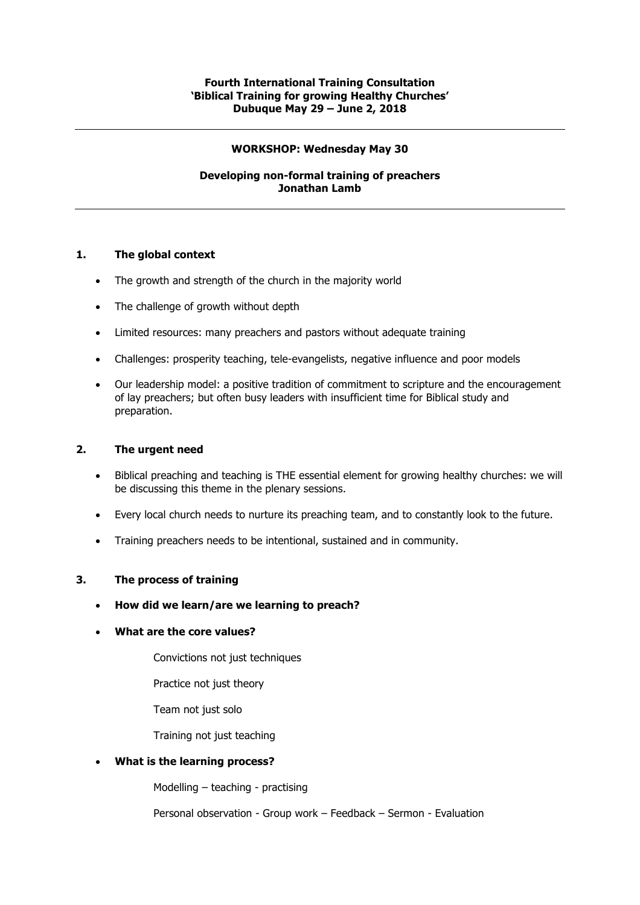#### **WORKSHOP: Wednesday May 30**

# **Developing non-formal training of preachers Jonathan Lamb**

## **1. The global context**

- The growth and strength of the church in the majority world
- The challenge of growth without depth
- Limited resources: many preachers and pastors without adequate training
- Challenges: prosperity teaching, tele-evangelists, negative influence and poor models
- Our leadership model: a positive tradition of commitment to scripture and the encouragement of lay preachers; but often busy leaders with insufficient time for Biblical study and preparation.

## **2. The urgent need**

- Biblical preaching and teaching is THE essential element for growing healthy churches: we will be discussing this theme in the plenary sessions.
- Every local church needs to nurture its preaching team, and to constantly look to the future.
- Training preachers needs to be intentional, sustained and in community.

## **3. The process of training**

- **How did we learn/are we learning to preach?**
- **What are the core values?**
	- Convictions not just techniques
	- Practice not just theory
	- Team not just solo

Training not just teaching

## • **What is the learning process?**

Modelling – teaching - practising

Personal observation - Group work – Feedback – Sermon - Evaluation